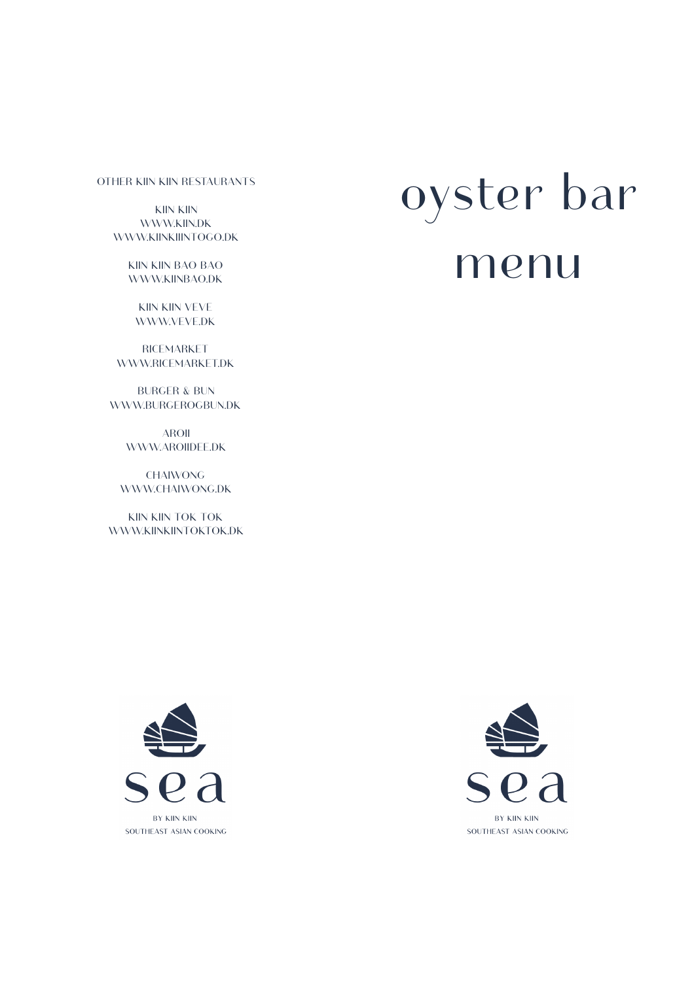#### OTHER KIIN KIIN RESTAURANTS

KIIN KIIN [WWW.KIIN.DK](http://WWW.KIIN.DK)  [WWW.KIINKIIINTOGO.DK](http://WWW.KIINKIIINTOGO.DK) 

> KIIN KIIN BAO BAO [WWW.KIINBAO.DK](http://WWW.KIINBAO.DK)

KIIN KIIN VEVE [WWW.VEVE.DK](http://WWW.VEVE.DK) 

RICEMARKET [WWW.RICEMARKET.DK](http://WWW.RICEMARKET.DK) 

BURGER & BUN [WWW.BURGEROGBUN.DK](http://WWW.BURGEROGBUN.DK) 

> AROII [WWW.AROIIDEE.DK](http://WWW.AROIIDEE.DK)

CHAIWONG WWW.CHAIWONG.DK

KIIN KIIN TOK TOK WWW.KIINKIINTOKTOK.DK

# oyster bar menu